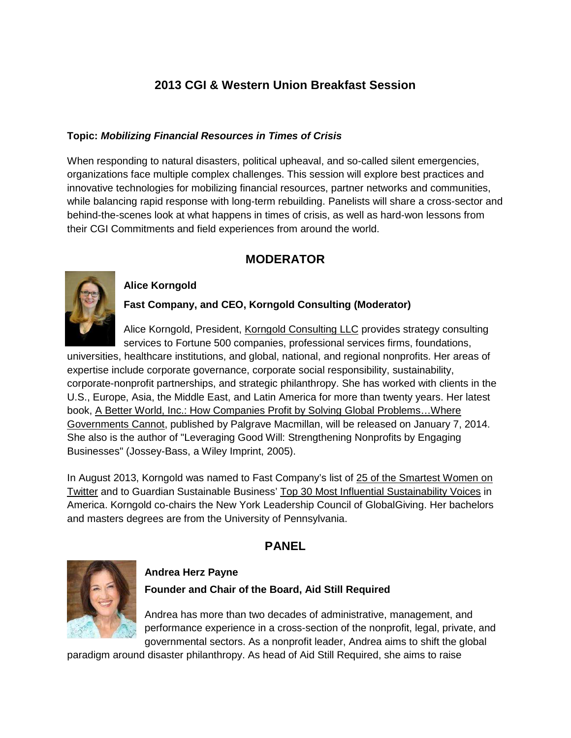# **2013 CGI & Western Union Breakfast Session**

#### **Topic: Mobilizing Financial Resources in Times of Crisis**

When responding to natural disasters, political uph eaval, and so-called silent emergencies, organizations face multiple complex challenges. Thi ssession will explore best practices and innovative technologies for mobilizing financial re sources, partner networks and communities, while balancing rapid response with long-term rebui lding. Panelists will share a cross-sector and behind-the-scenes look at what happens in times of crisis, as well as hard-won less on sfrom their CGI Commitments and field experiences from a reproduction ound the world.

# **MODERATOR**



### **Alice Korngold**

#### **Fast Company, and CEO, Korngold Consulting (Moderat or)**

Alice Korngold, President, Korngold Consulting LLC provides strategy consulting services to Fortune 500 companies, professional ser vices firms, foundations,

universities, healthcare institutions, and global, national, and regional nonprofits. Her areas of expertise include corporate governance, corporates ocial responsibility, sustainability, corporate-nonprofitpartnerships, and strategic phi lanthropy. She has worked with clients in the U.S., Europe, Asia, the Middle East, and Latin Amer ica form or ethan twenty years. Her latest book, A Better World, Inc.: How Companies Profit by Solving Global Problems... Where Governments Cannot, published by Palgrave Macmillan , will be released on January 7, 2014. Shealsoisthe author of "Leveraging Good Will: St rengthening Nonprofits by Engaging Businesses" (Jossey-Bass, a Wiley Imprint, 2005).

In August 2013, Korngold was named to Fast Company' slist of 25 of the Smartest Women on Twitter and to Guardian Sustainable Business' Top 3 0Most Influential Sustainability Voices in America. Korngold co-chairs the New York Leadership Council of Global Giving. Her bachelors and masters degrees are from the University of Penn sylvania.

# **PANEL**



# **Andrea Herz Payne**

## **Founder and Chair of the Board, Aid Still Required**

Andrea has more than two decades of administrative, management, and performance experience in across-section of the no nprofit, legal, private, and governmental sectors. As a nonprofit leader, Andrea aims to shift the global

paradigmaround disaster philanthropy. As head of A id Still Required, she aimstoraise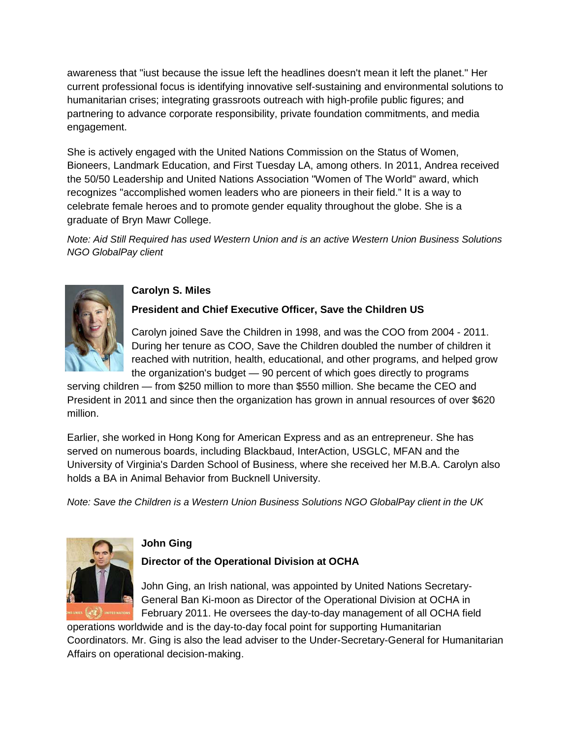awarenessthat"iustbecausetheissueleftthehea dlinesdoesn't mean it left the planet. "Her current professional focus is identifying innovativ eself-sustaining and environmental solutions to humanitarian crises; integrating grassroots outreac h with high-profile public figures; and partnering to advance corporate responsibility, pri vate foundation commitments, and media engagement.

Sheisactively engaged with the United Nations Com mission on the Status of Women, Bioneers, Landmark Education, and First Tuesday LA, among others. In 2011, And reareceived the 50/50 Leadership and United Nations Association "Women of The World" award, which recognizes" accomplished women leaders who are pion eers in their field." It is a way to celebrate female heroes and to promote gender equal ity throughout the globe. She is a graduate of Bryn Mawr College.

Note: Aid Still Required has used Western Union and is an active Western Union Business Solutions NGO GlobalPay client



# **Carolyn S. Miles**

## **President and Chief Executive Officer, Save the Chi ldren US**

Carolynjoined Save the Children in 1998, and was the COO from 2004-2011. During her tenure as COO, Save the Children doubled the number of children it reached with nutrition, health, educational, and ot her programs, and helped grow the organization's budget-90 percent of which goe sdirectly to programs

serving children—from \$250 million to more than \$ 550 million. She became the CEO and Presidentin 2011 and since then the organization h as grown in annual resources of over \$620 million.

Earlier, sheworked in Hong Kong for American Expre ssand as an entrepreneur. She has served on numerous boards, including Blackbaud, Int erAction, USGLC, MFAN and the University of Virginia's Darden School of Business, where she received her M.B.A. Carolyn also holds a BA in Animal Behavior from Bucknell Univers ity.

Note: Savethe Children is a Western Union Business Solutions NGO Global Pay client in the UK



## **John Ging**

## **Director of the Operational Division at OCHA**

John Ging, an Irish national, was appointed by Unit ed Nations Secretary-General Ban Ki-moon as Director of the Operational Division at OCHA in February 2011. He over sees the day-to-day managemen to fall OCH A field

operations worldwide and is the day-to-day focal po intror supporting Humanitarian Coordinators. Mr. Gingisalso the lead adviser to the Under-Secretary-General for Humanitarian Affairs on operational decision-making.